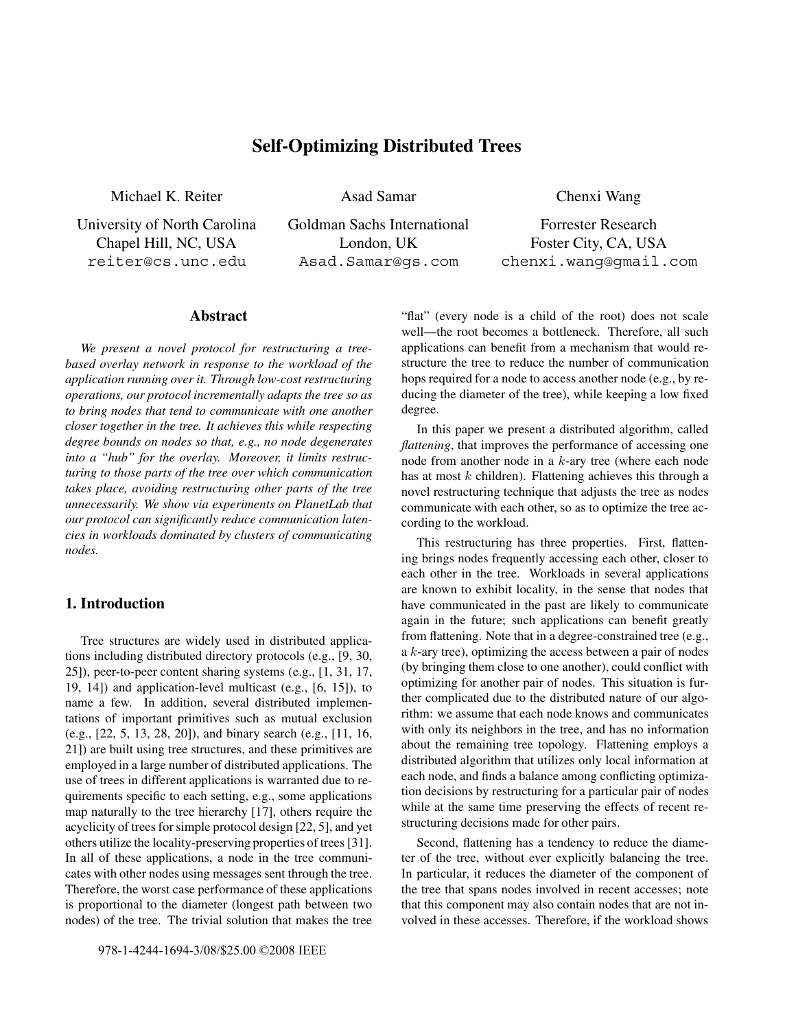# **Self-Optimizing Distributed Trees**

Michael K. Reiter

University of North Carolina Chapel Hill, NC, USA reiter@cs.unc.edu

Asad Samar Goldman Sachs International

London, UK Asad.Samar@gs.com Chenxi Wang

Forrester Research Foster City, CA, USA chenxi.wang@gmail.com

### **Abstract**

*We present a novel protocol for restructuring a treebased overlay network in response to the workload of the application running over it. Through low-cost restructuring operations, our protocol incrementally adapts the tree so as to bring nodes that tend to communicate with one another closer together in the tree. It achieves this while respecting degree bounds on nodes so that, e.g., no node degenerates into a "hub" for the overlay. Moreover, it limits restructuring to those parts of the tree over which communication takes place, avoiding restructuring other parts of the tree unnecessarily. We show via experiments on PlanetLab that our protocol can significantly reduce communication latencies in workloads dominated by clusters of communicating nodes.*

## **1. Introduction**

Tree structures are widely used in distributed applications including distributed directory protocols (e.g., [9, 30, 25]), peer-to-peer content sharing systems (e.g., [1, 31, 17, 19, 14]) and application-level multicast (e.g., [6, 15]), to name a few. In addition, several distributed implementations of important primitives such as mutual exclusion (e.g., [22, 5, 13, 28, 20]), and binary search (e.g., [11, 16, 21]) are built using tree structures, and these primitives are employed in a large number of distributed applications. The use of trees in different applications is warranted due to requirements specific to each setting, e.g., some applications map naturally to the tree hierarchy [17], others require the acyclicity of trees for simple protocol design [22, 5], and yet others utilize the locality-preserving properties of trees [31]. In all of these applications, a node in the tree communicates with other nodes using messages sent through the tree. Therefore, the worst case performance of these applications is proportional to the diameter (longest path between two nodes) of the tree. The trivial solution that makes the tree

"flat" (every node is a child of the root) does not scale well—the root becomes a bottleneck. Therefore, all such applications can benefit from a mechanism that would restructure the tree to reduce the number of communication hops required for a node to access another node (e.g., by reducing the diameter of the tree), while keeping a low fixed degree.

In this paper we present a distributed algorithm, called *flattening*, that improves the performance of accessing one node from another node in a *k*-ary tree (where each node has at most *k* children). Flattening achieves this through a novel restructuring technique that adjusts the tree as nodes communicate with each other, so as to optimize the tree according to the workload.

This restructuring has three properties. First, flattening brings nodes frequently accessing each other, closer to each other in the tree. Workloads in several applications are known to exhibit locality, in the sense that nodes that have communicated in the past are likely to communicate again in the future; such applications can benefit greatly from flattening. Note that in a degree-constrained tree (e.g., a *k*-ary tree), optimizing the access between a pair of nodes (by bringing them close to one another), could conflict with optimizing for another pair of nodes. This situation is further complicated due to the distributed nature of our algorithm: we assume that each node knows and communicates with only its neighbors in the tree, and has no information about the remaining tree topology. Flattening employs a distributed algorithm that utilizes only local information at each node, and finds a balance among conflicting optimization decisions by restructuring for a particular pair of nodes while at the same time preserving the effects of recent restructuring decisions made for other pairs.

Second, flattening has a tendency to reduce the diameter of the tree, without ever explicitly balancing the tree. In particular, it reduces the diameter of the component of the tree that spans nodes involved in recent accesses; note that this component may also contain nodes that are not involved in these accesses. Therefore, if the workload shows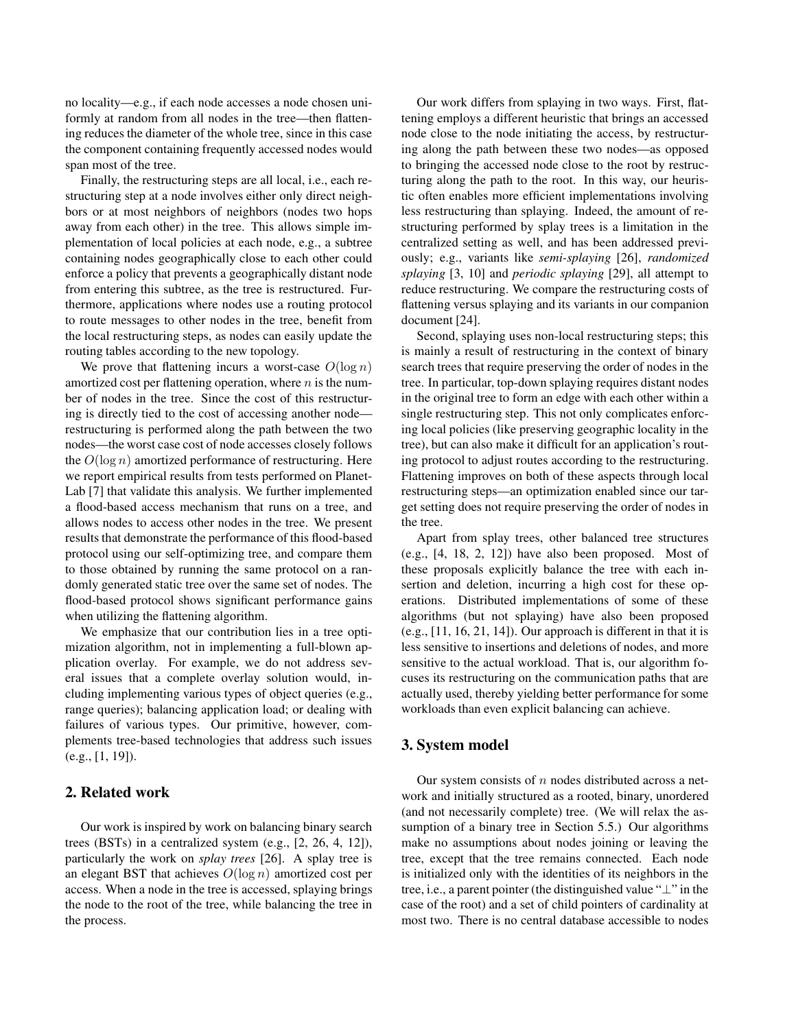no locality—e.g., if each node accesses a node chosen uniformly at random from all nodes in the tree—then flattening reduces the diameter of the whole tree, since in this case the component containing frequently accessed nodes would span most of the tree.

Finally, the restructuring steps are all local, i.e., each restructuring step at a node involves either only direct neighbors or at most neighbors of neighbors (nodes two hops away from each other) in the tree. This allows simple implementation of local policies at each node, e.g., a subtree containing nodes geographically close to each other could enforce a policy that prevents a geographically distant node from entering this subtree, as the tree is restructured. Furthermore, applications where nodes use a routing protocol to route messages to other nodes in the tree, benefit from the local restructuring steps, as nodes can easily update the routing tables according to the new topology.

We prove that flattening incurs a worst-case  $O(\log n)$ amortized cost per flattening operation, where *n* is the number of nodes in the tree. Since the cost of this restructuring is directly tied to the cost of accessing another node restructuring is performed along the path between the two nodes—the worst case cost of node accesses closely follows the *<sup>O</sup>*(log *<sup>n</sup>*) amortized performance of restructuring. Here we report empirical results from tests performed on Planet-Lab [7] that validate this analysis. We further implemented a flood-based access mechanism that runs on a tree, and allows nodes to access other nodes in the tree. We present results that demonstrate the performance of this flood-based protocol using our self-optimizing tree, and compare them to those obtained by running the same protocol on a randomly generated static tree over the same set of nodes. The flood-based protocol shows significant performance gains when utilizing the flattening algorithm.

We emphasize that our contribution lies in a tree optimization algorithm, not in implementing a full-blown application overlay. For example, we do not address several issues that a complete overlay solution would, including implementing various types of object queries (e.g., range queries); balancing application load; or dealing with failures of various types. Our primitive, however, complements tree-based technologies that address such issues (e.g., [1, 19]).

## **2. Related work**

Our work is inspired by work on balancing binary search trees (BSTs) in a centralized system (e.g., [2, 26, 4, 12]), particularly the work on *splay trees* [26]. A splay tree is an elegant BST that achieves *<sup>O</sup>*(log *<sup>n</sup>*) amortized cost per access. When a node in the tree is accessed, splaying brings the node to the root of the tree, while balancing the tree in the process.

Our work differs from splaying in two ways. First, flattening employs a different heuristic that brings an accessed node close to the node initiating the access, by restructuring along the path between these two nodes—as opposed to bringing the accessed node close to the root by restructuring along the path to the root. In this way, our heuristic often enables more efficient implementations involving less restructuring than splaying. Indeed, the amount of restructuring performed by splay trees is a limitation in the centralized setting as well, and has been addressed previously; e.g., variants like *semi-splaying* [26], *randomized splaying* [3, 10] and *periodic splaying* [29], all attempt to reduce restructuring. We compare the restructuring costs of flattening versus splaying and its variants in our companion document [24].

Second, splaying uses non-local restructuring steps; this is mainly a result of restructuring in the context of binary search trees that require preserving the order of nodes in the tree. In particular, top-down splaying requires distant nodes in the original tree to form an edge with each other within a single restructuring step. This not only complicates enforcing local policies (like preserving geographic locality in the tree), but can also make it difficult for an application's routing protocol to adjust routes according to the restructuring. Flattening improves on both of these aspects through local restructuring steps—an optimization enabled since our target setting does not require preserving the order of nodes in the tree.

Apart from splay trees, other balanced tree structures (e.g., [4, 18, 2, 12]) have also been proposed. Most of these proposals explicitly balance the tree with each insertion and deletion, incurring a high cost for these operations. Distributed implementations of some of these algorithms (but not splaying) have also been proposed  $(e.g., [11, 16, 21, 14])$ . Our approach is different in that it is less sensitive to insertions and deletions of nodes, and more sensitive to the actual workload. That is, our algorithm focuses its restructuring on the communication paths that are actually used, thereby yielding better performance for some workloads than even explicit balancing can achieve.

## **3. System model**

Our system consists of *n* nodes distributed across a network and initially structured as a rooted, binary, unordered (and not necessarily complete) tree. (We will relax the assumption of a binary tree in Section 5.5.) Our algorithms make no assumptions about nodes joining or leaving the tree, except that the tree remains connected. Each node is initialized only with the identities of its neighbors in the tree, i.e., a parent pointer (the distinguished value "⊥" in the case of the root) and a set of child pointers of cardinality at most two. There is no central database accessible to nodes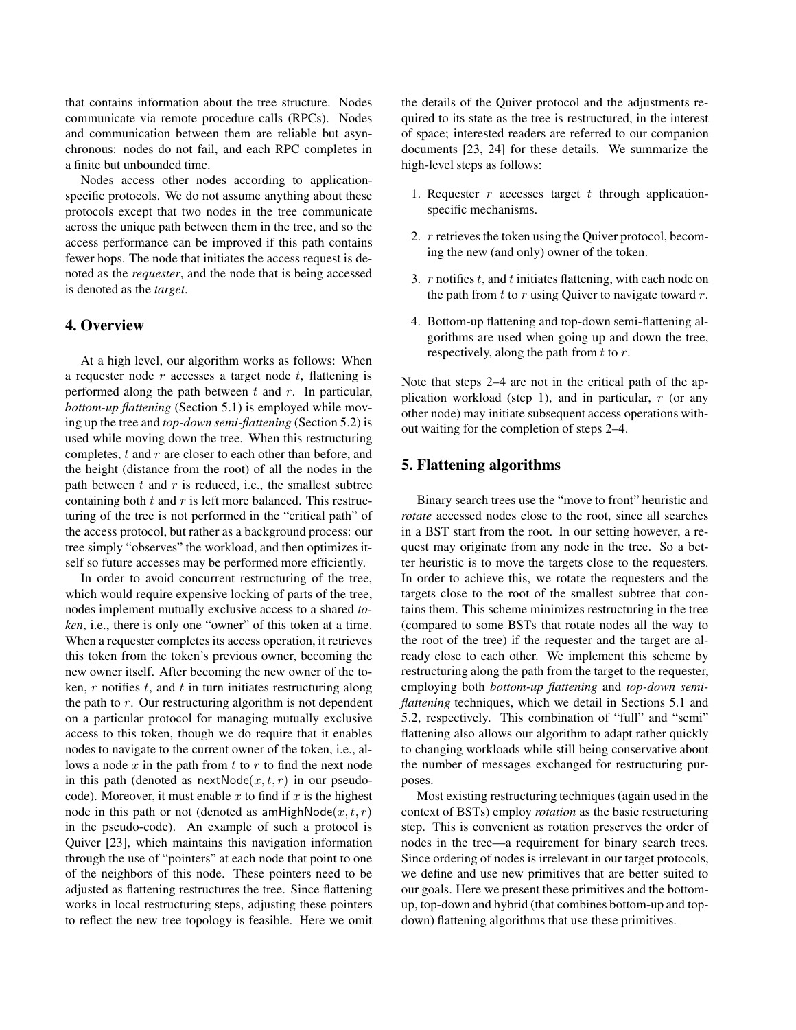that contains information about the tree structure. Nodes communicate via remote procedure calls (RPCs). Nodes and communication between them are reliable but asynchronous: nodes do not fail, and each RPC completes in a finite but unbounded time.

Nodes access other nodes according to applicationspecific protocols. We do not assume anything about these protocols except that two nodes in the tree communicate across the unique path between them in the tree, and so the access performance can be improved if this path contains fewer hops. The node that initiates the access request is denoted as the *requester*, and the node that is being accessed is denoted as the *target*.

### **4. Overview**

At a high level, our algorithm works as follows: When a requester node *r* accesses a target node *t*, flattening is performed along the path between *t* and *r*. In particular, *bottom-up flattening* (Section 5.1) is employed while moving up the tree and *top-down semi-flattening* (Section 5.2) is used while moving down the tree. When this restructuring completes, *t* and *r* are closer to each other than before, and the height (distance from the root) of all the nodes in the path between *t* and *r* is reduced, i.e., the smallest subtree containing both *t* and *r* is left more balanced. This restructuring of the tree is not performed in the "critical path" of the access protocol, but rather as a background process: our tree simply "observes" the workload, and then optimizes itself so future accesses may be performed more efficiently.

In order to avoid concurrent restructuring of the tree, which would require expensive locking of parts of the tree, nodes implement mutually exclusive access to a shared *token*, i.e., there is only one "owner" of this token at a time. When a requester completes its access operation, it retrieves this token from the token's previous owner, becoming the new owner itself. After becoming the new owner of the token, *r* notifies *t*, and *t* in turn initiates restructuring along the path to *r*. Our restructuring algorithm is not dependent on a particular protocol for managing mutually exclusive access to this token, though we do require that it enables nodes to navigate to the current owner of the token, i.e., allows a node *x* in the path from *t* to *r* to find the next node in this path (denoted as  $nextNode(x, t, r)$  in our pseudocode). Moreover, it must enable *x* to find if *x* is the highest node in this path or not (denoted as  $amHighNode(x, t, r)$ ) in the pseudo-code). An example of such a protocol is Quiver [23], which maintains this navigation information through the use of "pointers" at each node that point to one of the neighbors of this node. These pointers need to be adjusted as flattening restructures the tree. Since flattening works in local restructuring steps, adjusting these pointers to reflect the new tree topology is feasible. Here we omit

the details of the Quiver protocol and the adjustments required to its state as the tree is restructured, in the interest of space; interested readers are referred to our companion documents [23, 24] for these details. We summarize the high-level steps as follows:

- 1. Requester *r* accesses target *t* through applicationspecific mechanisms.
- 2. *r* retrieves the token using the Quiver protocol, becoming the new (and only) owner of the token.
- 3. *r* notifies *t*, and *t* initiates flattening, with each node on the path from *t* to *r* using Quiver to navigate toward *r*.
- 4. Bottom-up flattening and top-down semi-flattening algorithms are used when going up and down the tree, respectively, along the path from *t* to *r*.

Note that steps 2–4 are not in the critical path of the application workload (step 1), and in particular, *r* (or any other node) may initiate subsequent access operations without waiting for the completion of steps 2–4.

## **5. Flattening algorithms**

Binary search trees use the "move to front" heuristic and *rotate* accessed nodes close to the root, since all searches in a BST start from the root. In our setting however, a request may originate from any node in the tree. So a better heuristic is to move the targets close to the requesters. In order to achieve this, we rotate the requesters and the targets close to the root of the smallest subtree that contains them. This scheme minimizes restructuring in the tree (compared to some BSTs that rotate nodes all the way to the root of the tree) if the requester and the target are already close to each other. We implement this scheme by restructuring along the path from the target to the requester, employing both *bottom-up flattening* and *top-down semiflattening* techniques, which we detail in Sections 5.1 and 5.2, respectively. This combination of "full" and "semi" flattening also allows our algorithm to adapt rather quickly to changing workloads while still being conservative about the number of messages exchanged for restructuring purposes.

Most existing restructuring techniques (again used in the context of BSTs) employ *rotation* as the basic restructuring step. This is convenient as rotation preserves the order of nodes in the tree—a requirement for binary search trees. Since ordering of nodes is irrelevant in our target protocols, we define and use new primitives that are better suited to our goals. Here we present these primitives and the bottomup, top-down and hybrid (that combines bottom-up and topdown) flattening algorithms that use these primitives.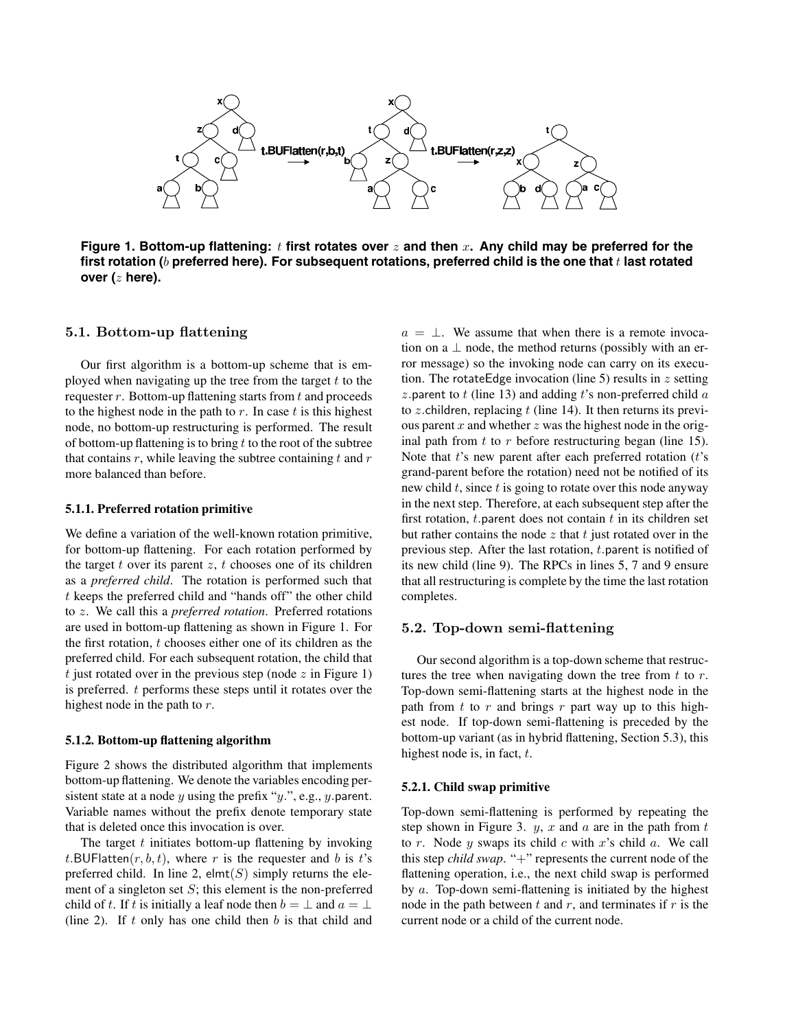

**Figure 1. Bottom-up flattening:** *t* **first rotates over** *z* **and then** *x***. Any child may be preferred for the first rotation (***b* **preferred here). For subsequent rotations, preferred child is the one that** *t* **last rotated over (***z* **here).**

#### **5.1. Bottom-up flattening**

Our first algorithm is a bottom-up scheme that is employed when navigating up the tree from the target *t* to the requester *r*. Bottom-up flattening starts from *t* and proceeds to the highest node in the path to *r*. In case *t* is this highest node, no bottom-up restructuring is performed. The result of bottom-up flattening is to bring *t* to the root of the subtree that contains  $r$ , while leaving the subtree containing  $t$  and  $r$ more balanced than before.

#### **5.1.1. Preferred rotation primitive**

We define a variation of the well-known rotation primitive, for bottom-up flattening. For each rotation performed by the target *t* over its parent *z*, *t* chooses one of its children as a *preferred child*. The rotation is performed such that *t* keeps the preferred child and "hands off" the other child to *z*. We call this a *preferred rotation*. Preferred rotations are used in bottom-up flattening as shown in Figure 1. For the first rotation, *t* chooses either one of its children as the preferred child. For each subsequent rotation, the child that *t* just rotated over in the previous step (node *z* in Figure 1) is preferred. *t* performs these steps until it rotates over the highest node in the path to *r*.

#### **5.1.2. Bottom-up flattening algorithm**

Figure 2 shows the distributed algorithm that implements bottom-up flattening. We denote the variables encoding persistent state at a node *y* using the prefix "*y.*", e.g., *y.*parent. Variable names without the prefix denote temporary state that is deleted once this invocation is over.

The target *t* initiates bottom-up flattening by invoking *t*. BUFlatten $(r, b, t)$ , where *r* is the requester and *b* is *t*'s preferred child. In line 2,  $\mathsf{elmt}(S)$  simply returns the element of a singleton set *S*; this element is the non-preferred child of *t*. If *t* is initially a leaf node then  $b = \perp$  and  $a = \perp$ (line 2). If *t* only has one child then *b* is that child and  $a = \perp$ . We assume that when there is a remote invocation on a  $\perp$  node, the method returns (possibly with an error message) so the invoking node can carry on its execution. The rotateEdge invocation (line 5) results in *z* setting *z.*parent to *t* (line 13) and adding *t*'s non-preferred child *a* to *z.*children, replacing *t* (line 14). It then returns its previous parent *x* and whether *z* was the highest node in the original path from *t* to *r* before restructuring began (line 15). Note that *t*'s new parent after each preferred rotation (*t*'s grand-parent before the rotation) need not be notified of its new child *t*, since *t* is going to rotate over this node anyway in the next step. Therefore, at each subsequent step after the first rotation, *t.*parent does not contain *t* in its children set but rather contains the node *z* that *t* just rotated over in the previous step. After the last rotation, *t.*parent is notified of its new child (line 9). The RPCs in lines 5, 7 and 9 ensure that all restructuring is complete by the time the last rotation completes.

### **5.2. Top-down semi-flattening**

Our second algorithm is a top-down scheme that restructures the tree when navigating down the tree from *t* to *r*. Top-down semi-flattening starts at the highest node in the path from *t* to *r* and brings *r* part way up to this highest node. If top-down semi-flattening is preceded by the bottom-up variant (as in hybrid flattening, Section 5.3), this highest node is, in fact, *t*.

#### **5.2.1. Child swap primitive**

Top-down semi-flattening is performed by repeating the step shown in Figure 3. *y*, *x* and *a* are in the path from *t* to *r*. Node *y* swaps its child *c* with *x*'s child *a*. We call this step *child swap*. "+" represents the current node of the flattening operation, i.e., the next child swap is performed by *a*. Top-down semi-flattening is initiated by the highest node in the path between *t* and *r*, and terminates if *r* is the current node or a child of the current node.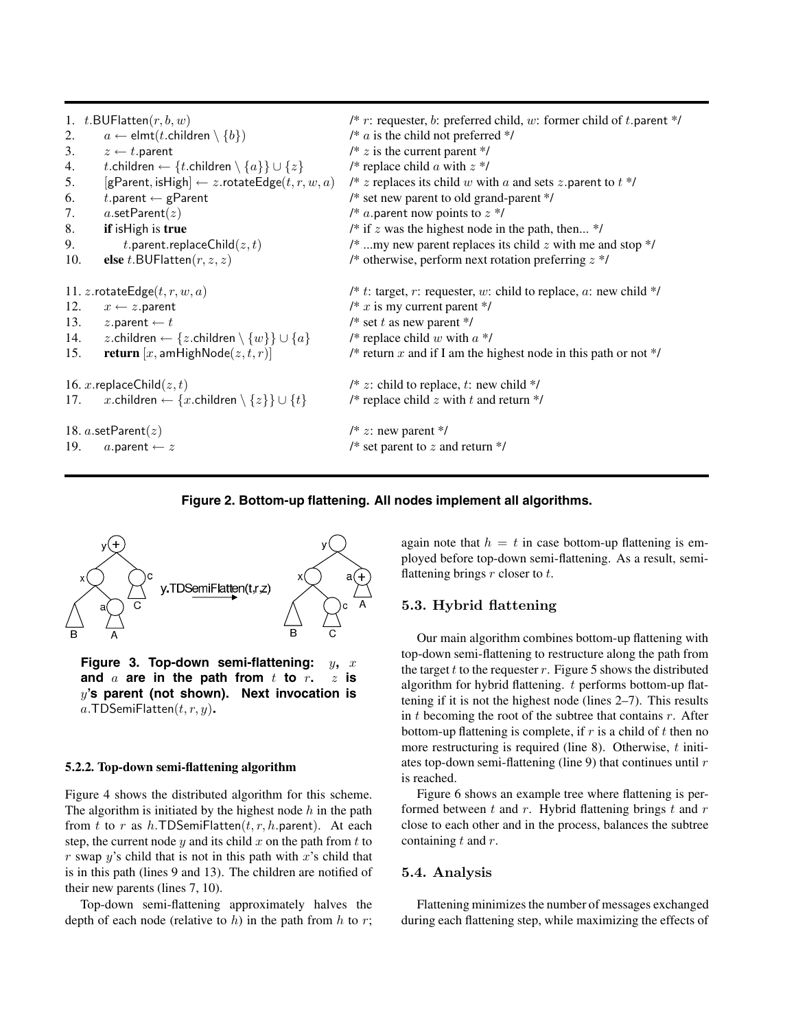|                                  | 1. t.BUFlatten $(r, b, w)$                                                    | /* $r$ : requester, $b$ : preferred child, $w$ : former child of $t$ . parent */ |
|----------------------------------|-------------------------------------------------------------------------------|----------------------------------------------------------------------------------|
| 2.                               | $a \leftarrow$ elmt( <i>t</i> .children $\setminus \{b\}$ )                   | /* $a$ is the child not preferred */                                             |
| 3.                               | $z \leftarrow t$ . parent                                                     | /* $z$ is the current parent */                                                  |
| 4.                               | t.children $\leftarrow \{t.\text{children} \setminus \{a\}\} \cup \{z\}$      | /* replace child $a$ with $z$ */                                                 |
| 5.                               | [gParent, isHigh] $\leftarrow$ z.rotateEdge(t, r, w, a)                       | /* $z$ replaces its child $w$ with $a$ and sets $z$ parent to $t \frac{*}{'}$    |
| 6.                               | t.parent $\leftarrow$ gParent                                                 | /* set new parent to old grand-parent */                                         |
| 7.                               | a.setParent $(z)$                                                             | /* a.parent now points to $z$ */                                                 |
| 8.                               | if is High is true                                                            | /* if $z$ was the highest node in the path, then */                              |
| 9.                               | t.parent.replaceChild $(z,t)$                                                 | $/* $ my new parent replaces its child $z$ with me and stop $*/$                 |
| 10.                              | else t. BUFlatten $(r, z, z)$                                                 | /* otherwise, perform next rotation preferring $z$ */                            |
| 11. z. rotateEdge $(t, r, w, a)$ |                                                                               | /* t: target, r: requester, w: child to replace, a: new child */                 |
| 12.                              | $x \leftarrow z$ . parent                                                     | $/* x$ is my current parent */                                                   |
| 13.                              | $z$ .parent $\leftarrow t$                                                    | /* set t as new parent */                                                        |
| 14.                              | <i>z</i> .children ← { <i>z</i> .children \ { <i>w</i> }} $\cup$ { <i>a</i> } | /* replace child $w$ with $a$ */                                                 |
| 15.                              | <b>return</b> [x, amHighNode( $z, t, r$ )]                                    | /* return $x$ and if I am the highest node in this path or not $\frac{*}{s}$     |
| 16. x. replace Child $(z, t)$    |                                                                               | /* z: child to replace, t: new child */                                          |
| 17.                              | x.children $\leftarrow$ {x.children \{z}} $\cup$ {t}                          | /* replace child $z$ with $t$ and return $*/$                                    |
| 18. $a$ . set Parent $(z)$       |                                                                               | $/* z: new parent */$                                                            |
| 19.                              | a.parent $\leftarrow z$                                                       | /* set parent to $z$ and return */                                               |

## **Figure 2. Bottom-up flattening. All nodes implement all algorithms.**



**Figure 3. Top-down semi-flattening:** *y***,** *x* **and** *a* **are in the path from** *t* **to** *r***.** *z* **is** *y***'s parent (not shown). Next invocation is** *a.*TDSemiFlatten(*t, r, y*)**.**

#### **5.2.2. Top-down semi-flattening algorithm**

Figure 4 shows the distributed algorithm for this scheme. The algorithm is initiated by the highest node *h* in the path from *<sup>t</sup>* to *<sup>r</sup>* as *h.*TDSemiFlatten(*t, r, h.*parent). At each step, the current node *y* and its child *x* on the path from *t* to *r* swap *y*'s child that is not in this path with *x*'s child that is in this path (lines 9 and 13). The children are notified of their new parents (lines 7, 10).

Top-down semi-flattening approximately halves the depth of each node (relative to  $h$ ) in the path from  $h$  to  $r$ ; again note that  $h = t$  in case bottom-up flattening is employed before top-down semi-flattening. As a result, semiflattening brings *r* closer to *t*.

## **5.3. Hybrid flattening**

Our main algorithm combines bottom-up flattening with top-down semi-flattening to restructure along the path from the target  $t$  to the requester  $r$ . Figure 5 shows the distributed algorithm for hybrid flattening. *t* performs bottom-up flattening if it is not the highest node (lines 2–7). This results in *t* becoming the root of the subtree that contains *r*. After bottom-up flattening is complete, if *r* is a child of *t* then no more restructuring is required (line 8). Otherwise, *t* initiates top-down semi-flattening (line 9) that continues until *r* is reached.

Figure 6 shows an example tree where flattening is performed between *t* and *r*. Hybrid flattening brings *t* and *r* close to each other and in the process, balances the subtree containing *t* and *r*.

## **5.4. Analysis**

Flattening minimizes the number of messages exchanged during each flattening step, while maximizing the effects of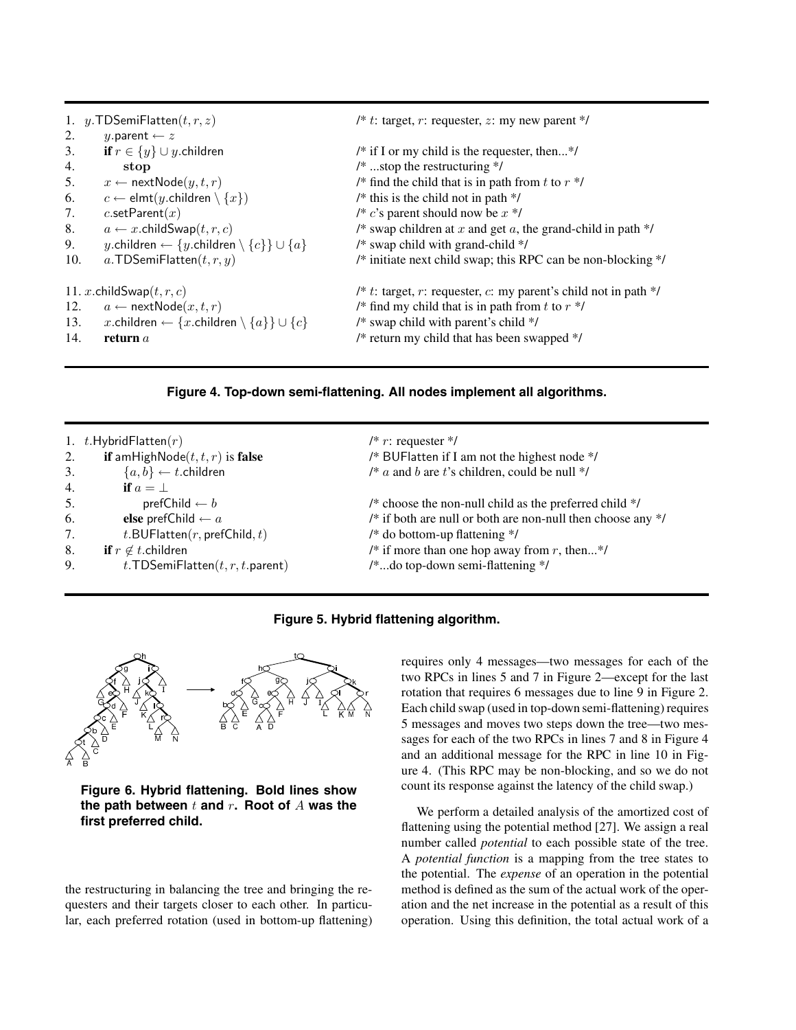|                             | 1. $y$ . TDSemiFlatten $(t, r, z)$                                        | /* t: target, r: requester, z: my new parent */                          |
|-----------------------------|---------------------------------------------------------------------------|--------------------------------------------------------------------------|
| 2.                          | y.parent $\leftarrow z$                                                   |                                                                          |
| 3.                          | <b>if</b> $r \in \{y\} \cup y$ children                                   | /* if I or my child is the requester, then*/                             |
| 4.                          | stop                                                                      | $/* \dots$ stop the restructuring */                                     |
| 5.                          | $x \leftarrow$ nextNode $(y, t, r)$                                       | /* find the child that is in path from t to $r$ */                       |
| 6.                          | $c \leftarrow$ elmt(y.children \{x})                                      | $/*$ this is the child not in path $*/$                                  |
| 7.                          | $c.\mathsf{setParent}(x)$                                                 | /* $c$ 's parent should now be $x$ */                                    |
| 8.                          | $a \leftarrow x$ .childSwap $(t, r, c)$                                   | /* swap children at $x$ and get $a$ , the grand-child in path $*/$       |
| 9.                          | y.children $\leftarrow \{y \text{.children} \setminus \{c\}\} \cup \{a\}$ | $/*$ swap child with grand-child $*/$                                    |
| 10.                         | a.TDSemiFlatten $(t, r, y)$                                               | /* initiate next child swap; this RPC can be non-blocking */             |
| 11. x.childSwap $(t, r, c)$ |                                                                           | /* $t$ : target, $r$ : requester, $c$ : my parent's child not in path */ |
| 12.                         | $a \leftarrow$ nextNode $(x, t, r)$                                       | /* find my child that is in path from t to $r$ */                        |
| 13.                         | x.children $\leftarrow \{x.\text{children} \setminus \{a\}\} \cup \{c\}$  | /* swap child with parent's child */                                     |
| 14.                         | return $a$                                                                | /* return my child that has been swapped */                              |

### **Figure 4. Top-down semi-flattening. All nodes implement all algorithms.**

|    | 1. t. Hybrid Flatten $(r)$                        | $/* r: requester */$                                          |
|----|---------------------------------------------------|---------------------------------------------------------------|
| 2. | <b>if</b> amHighNode( $t, t, r$ ) is <b>false</b> | /* BUFlatten if I am not the highest node */                  |
| 3. | ${a,b} \leftarrow t$ .children                    | /* $a$ and $b$ are $t$ 's children, could be null */          |
| 4. | if $a=\perp$                                      |                                                               |
| 5. | prefChild $\leftarrow b$                          | /* choose the non-null child as the preferred child $*/$      |
| 6. | else prefChild $\leftarrow a$                     | /* if both are null or both are non-null then choose any $*/$ |
| 7. | t.BUFlatten $(r,$ prefChild, t)                   | /* do bottom-up flattening */                                 |
| 8. | <b>if</b> $r \notin t$ children                   | /* if more than one hop away from r, then*/                   |
| 9. | $t$ .TDSemiFlatten $(t, r, t$ .parent)            | /*do top-down semi-flattening */                              |
|    |                                                   |                                                               |





**Figure 6. Hybrid flattening. Bold lines show the path between** *t* **and** *r***. Root of** *A* **was the first preferred child.**

the restructuring in balancing the tree and bringing the requesters and their targets closer to each other. In particular, each preferred rotation (used in bottom-up flattening) requires only 4 messages—two messages for each of the two RPCs in lines 5 and 7 in Figure 2—except for the last rotation that requires 6 messages due to line 9 in Figure 2. Each child swap (used in top-down semi-flattening) requires 5 messages and moves two steps down the tree—two messages for each of the two RPCs in lines 7 and 8 in Figure 4 and an additional message for the RPC in line 10 in Figure 4. (This RPC may be non-blocking, and so we do not count its response against the latency of the child swap.)

We perform a detailed analysis of the amortized cost of flattening using the potential method [27]. We assign a real number called *potential* to each possible state of the tree. A *potential function* is a mapping from the tree states to the potential. The *expense* of an operation in the potential method is defined as the sum of the actual work of the operation and the net increase in the potential as a result of this operation. Using this definition, the total actual work of a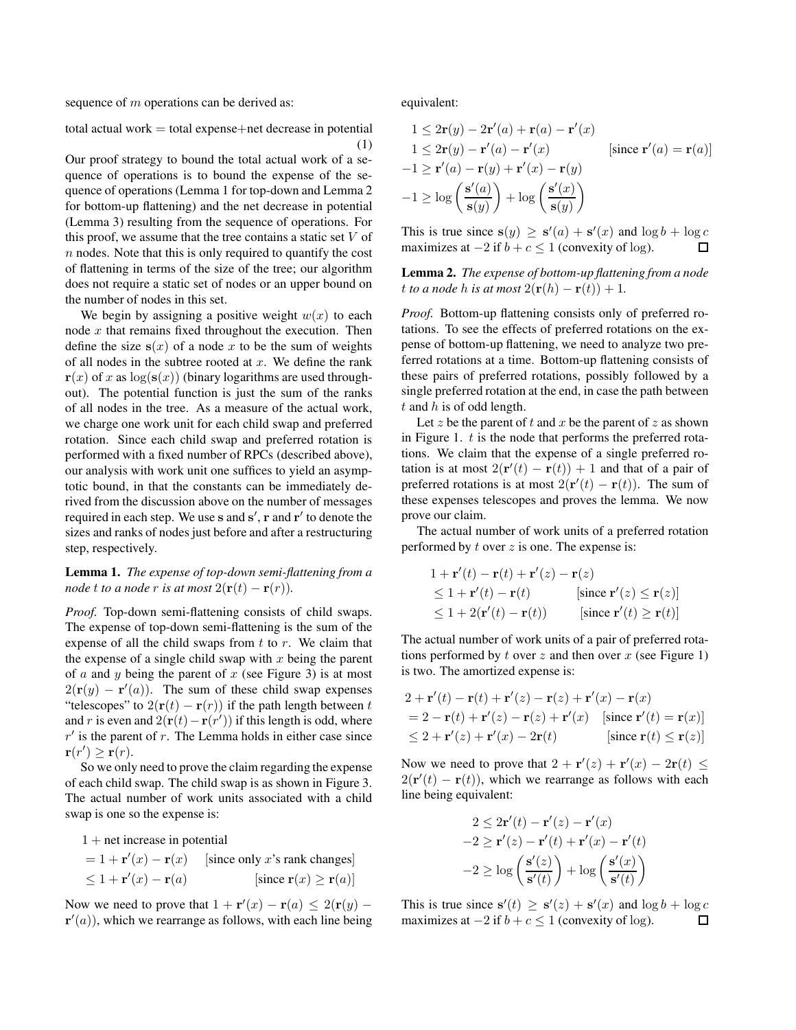sequence of *m* operations can be derived as:

total actual work  $=$  total expense $+$ net decrease in potential (1)

Our proof strategy to bound the total actual work of a sequence of operations is to bound the expense of the sequence of operations (Lemma 1 for top-down and Lemma 2 for bottom-up flattening) and the net decrease in potential (Lemma 3) resulting from the sequence of operations. For this proof, we assume that the tree contains a static set *V* of *n* nodes. Note that this is only required to quantify the cost of flattening in terms of the size of the tree; our algorithm does not require a static set of nodes or an upper bound on the number of nodes in this set.

We begin by assigning a positive weight  $w(x)$  to each node *x* that remains fixed throughout the execution. Then define the size  $s(x)$  of a node x to be the sum of weights of all nodes in the subtree rooted at *x*. We define the rank  $\mathbf{r}(x)$  of *x* as  $\log(\mathbf{s}(x))$  (binary logarithms are used throughout). The potential function is just the sum of the ranks of all nodes in the tree. As a measure of the actual work, we charge one work unit for each child swap and preferred rotation. Since each child swap and preferred rotation is performed with a fixed number of RPCs (described above), our analysis with work unit one suffices to yield an asymptotic bound, in that the constants can be immediately derived from the discussion above on the number of messages required in each step. We use **s** and **s** , **r** and **r** to denote the sizes and ranks of nodes just before and after a restructuring step, respectively.

**Lemma 1.** *The expense of top-down semi-flattening from a node t to a node r is at most*  $2(\mathbf{r}(t) - \mathbf{r}(r))$ .

*Proof.* Top-down semi-flattening consists of child swaps. The expense of top-down semi-flattening is the sum of the expense of all the child swaps from *t* to *r*. We claim that the expense of a single child swap with *x* being the parent of *a* and *y* being the parent of *x* (see Figure 3) is at most  $2(\mathbf{r}(y) - \mathbf{r}'(a))$ . The sum of these child swap expenses<br>
"telescopes" to  $2(\mathbf{r}(t) - \mathbf{r}(r))$  if the path length between t "telescopes" to  $2(\mathbf{r}(t) - \mathbf{r}(r))$  if the path length between *t* and *r* is even and  $2(\mathbf{r}(t) - \mathbf{r}(r'))$  if this length is odd, where  $r'$  is the parent of *r*. The Lemma holds in either case since  $r'$  is the parent of  $r$ . The Lemma holds in either case since  $\mathbf{r}(r') \geq \mathbf{r}(r)$ .<br>
So we only

So we only need to prove the claim regarding the expense of each child swap. The child swap is as shown in Figure 3. The actual number of work units associated with a child swap is one so the expense is:

 $1 +$  net increase in potential

$$
= 1 + \mathbf{r}'(x) - \mathbf{r}(x)
$$
 [since only *x*'s rank changes]  
\n
$$
\leq 1 + \mathbf{r}'(x) - \mathbf{r}(a)
$$
 [since  $\mathbf{r}(x) \geq \mathbf{r}(a)$ ]

Now we need to prove that  $1 + \mathbf{r}'(x) - \mathbf{r}(a) \le 2(\mathbf{r}(y) - \mathbf{r}'(a))$ , which we regrange as follows, with each line being **r** (*a*)), which we rearrange as follows, with each line being equivalent:

$$
1 \le 2\mathbf{r}(y) - 2\mathbf{r}'(a) + \mathbf{r}(a) - \mathbf{r}'(x)
$$
  
\n
$$
1 \le 2\mathbf{r}(y) - \mathbf{r}'(a) - \mathbf{r}'(x) \qquad \text{[since } \mathbf{r}'(a) = \mathbf{r}(a) \text{]}
$$
  
\n
$$
-1 \ge \mathbf{r}'(a) - \mathbf{r}(y) + \mathbf{r}'(x) - \mathbf{r}(y)
$$
  
\n
$$
-1 \ge \log\left(\frac{\mathbf{s}'(a)}{\mathbf{s}(y)}\right) + \log\left(\frac{\mathbf{s}'(x)}{\mathbf{s}(y)}\right)
$$

This is true since  $\mathbf{s}(y) \geq \mathbf{s}'(a) + \mathbf{s}'(x)$  and  $\log b + \log c$ <br>maximizes at  $-2$  if  $b+c \leq 1$  (convexity of  $\log c$ ) maximizes at  $-2$  if *b* + *c* ≤ 1 (convexity of log).

**Lemma 2.** *The expense of bottom-up flattening from a node t to a node h is at most*  $2(\mathbf{r}(h) - \mathbf{r}(t)) + 1$ .

*Proof.* Bottom-up flattening consists only of preferred rotations. To see the effects of preferred rotations on the expense of bottom-up flattening, we need to analyze two preferred rotations at a time. Bottom-up flattening consists of these pairs of preferred rotations, possibly followed by a single preferred rotation at the end, in case the path between *t* and *h* is of odd length.

Let  $z$  be the parent of  $t$  and  $x$  be the parent of  $z$  as shown in Figure 1. *t* is the node that performs the preferred rotations. We claim that the expense of a single preferred rotation is at most  $2(\mathbf{r}'(t) - \mathbf{r}(t)) + 1$  and that of a pair of preferred rotations is at most  $2(\mathbf{r}'(t) - \mathbf{r}(t))$ . The sum of preferred rotations is at most  $2(\mathbf{r}'(t) - \mathbf{r}(t))$ . The sum of these expenses telescopes and proves the lemma. We now these expenses telescopes and proves the lemma. We now prove our claim.

The actual number of work units of a preferred rotation performed by *t* over *z* is one. The expense is:

$$
1 + \mathbf{r}'(t) - \mathbf{r}(t) + \mathbf{r}'(z) - \mathbf{r}(z)
$$
  
\n
$$
\leq 1 + \mathbf{r}'(t) - \mathbf{r}(t) \qquad \text{[since } \mathbf{r}'(z) \leq \mathbf{r}(z) \text{]}
$$
  
\n
$$
\leq 1 + 2(\mathbf{r}'(t) - \mathbf{r}(t)) \qquad \text{[since } \mathbf{r}'(t) \geq \mathbf{r}(t) \text{]}
$$

The actual number of work units of a pair of preferred rotations performed by *t* over *z* and then over *x* (see Figure 1) is two. The amortized expense is:

$$
2 + \mathbf{r}'(t) - \mathbf{r}(t) + \mathbf{r}'(z) - \mathbf{r}(z) + \mathbf{r}'(x) - \mathbf{r}(x)
$$
  
= 2 - \mathbf{r}(t) + \mathbf{r}'(z) - \mathbf{r}(z) + \mathbf{r}'(x) [since  $\mathbf{r}'(t) = \mathbf{r}(x)$ ]  
 $\leq 2 + \mathbf{r}'(z) + \mathbf{r}'(x) - 2\mathbf{r}(t)$  [since  $\mathbf{r}(t) \leq \mathbf{r}(z)$ ]

Now we need to prove that  $2 + \mathbf{r}'(z) + \mathbf{r}'(x) - 2\mathbf{r}(t) \le 2(\mathbf{r}'(t) - \mathbf{r}(t))$  which we regrange as follows with each  $2(\mathbf{r}'(t) - \mathbf{r}(t))$ , which we rearrange as follows with each line being equivalent: line being equivalent:

$$
2 \le 2\mathbf{r}'(t) - \mathbf{r}'(z) - \mathbf{r}'(x)
$$

$$
-2 \ge \mathbf{r}'(z) - \mathbf{r}'(t) + \mathbf{r}'(x) - \mathbf{r}'(t)
$$

$$
-2 \ge \log\left(\frac{\mathbf{s}'(z)}{\mathbf{s}'(t)}\right) + \log\left(\frac{\mathbf{s}'(x)}{\mathbf{s}'(t)}\right)
$$

This is true since  $\mathbf{s}'(t) \geq \mathbf{s}'(z) + \mathbf{s}'(x)$  and  $\log b + \log c$ <br>maximizes at  $-2$  if  $b+c \leq 1$  (convexity of  $\log c$ ) maximizes at  $-2$  if *b* + *c* ≤ 1 (convexity of log).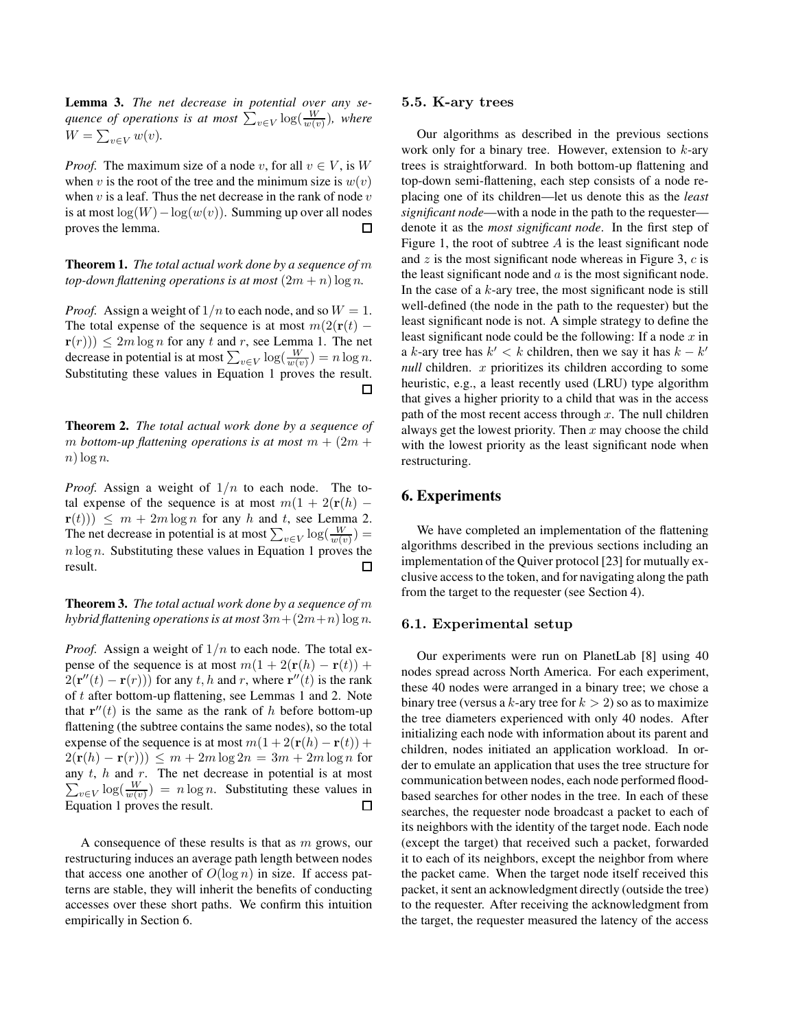**Lemma 3.** *The net decrease in potential over any sequence of operations is at most*  $\sum_{v \in V} \log(\frac{W}{w(v)})$ *, where*  $W = \sum_{v \in V} w(v)$ .

*Proof.* The maximum size of a node *v*, for all  $v \in V$ , is *W* when *v* is the root of the tree and the minimum size is  $w(v)$ when *v* is a leaf. Thus the net decrease in the rank of node *v* is at most log(*W*)−log(*w*(*v*)). Summing up over all nodes proves the lemma.  $\square$ proves the lemma.

**Theorem 1.** *The total actual work done by a sequence of m top-down flattening operations is at most*  $(2m + n) \log n$ .

*Proof.* Assign a weight of  $1/n$  to each node, and so  $W = 1$ . The total expense of the sequence is at most  $m(2(\mathbf{r}(t)))$  $\mathbf{r}(r)$ ))  $\leq 2m \log n$  for any *t* and *r*, see Lemma 1. The net decrease in potential is at most  $\sum_{v \in V} \log(\frac{W}{w(v)}) = n \log n$ .<br>Substituting these values in Fauntion 1 proves the result Substituting these values in Equation 1 proves the result. □

**Theorem 2.** *The total actual work done by a sequence of m bottom-up flattening operations is at most*  $m + (2m +$ *<sup>n</sup>*) log *<sup>n</sup>.*

*Proof.* Assign a weight of 1*/n* to each node. The total expense of the sequence is at most  $m(1 + 2(r(h) \mathbf{r}(t)$ ))  $\leq m + 2m \log n$  for any *h* and *t*, see Lemma 2. The net decrease in potential is at most  $\sum_{v \in V} \log(\frac{W}{w(v))}$ *n* log *n*. Substituting these values in Equation 1 proves the result result.

**Theorem 3.** *The total actual work done by a sequence of m hybrid flattening operations is at most*  $3m + (2m+n) \log n$ *.* 

*Proof.* Assign a weight of  $1/n$  to each node. The total expense of the sequence is at most  $m(1 + 2(\mathbf{r}(h) - \mathbf{r}(t)))$  +  $2(\mathbf{r}''(t) - \mathbf{r}(r))$  for any *t*, *h* and *r*, where  $\mathbf{r}''(t)$  is the rank of *t* after bottom-up flattening, see Lemmas 1 and 2. Note that  $\mathbf{r}''(t)$  is the same as the rank of *h* before bottom-up flattening (the subtree contains the same nodes), so the total expense of the sequence is at most  $m(1 + 2(\mathbf{r}(h) - \mathbf{r}(t)) +$  $2(\mathbf{r}(h) - \mathbf{r}(r)) \leq m + 2m \log 2n = 3m + 2m \log n$  for any *t*, *h* and *r*. The net decrease in potential is at most  $\sum_{v \in V} \log(\frac{W}{w(v)}) = n \log n$ . Substituting these values in Equation 1 proves the result Equation 1 proves the result.

A consequence of these results is that as *m* grows, our restructuring induces an average path length between nodes that access one another of  $O(\log n)$  in size. If access patterns are stable, they will inherit the benefits of conducting accesses over these short paths. We confirm this intuition empirically in Section 6.

#### **5.5. K-ary trees**

Our algorithms as described in the previous sections work only for a binary tree. However, extension to *k*-ary trees is straightforward. In both bottom-up flattening and top-down semi-flattening, each step consists of a node replacing one of its children—let us denote this as the *least significant node*—with a node in the path to the requester denote it as the *most significant node*. In the first step of Figure 1, the root of subtree *A* is the least significant node and *z* is the most significant node whereas in Figure 3, *c* is the least significant node and *a* is the most significant node. In the case of a *k*-ary tree, the most significant node is still well-defined (the node in the path to the requester) but the least significant node is not. A simple strategy to define the least significant node could be the following: If a node *x* in a *k*-ary tree has  $k' < k$  children, then we say it has  $k - k'$ *null* children. *x* prioritizes its children according to some heuristic, e.g., a least recently used (LRU) type algorithm that gives a higher priority to a child that was in the access path of the most recent access through *x*. The null children always get the lowest priority. Then *x* may choose the child with the lowest priority as the least significant node when restructuring.

### **6. Experiments**

We have completed an implementation of the flattening algorithms described in the previous sections including an implementation of the Quiver protocol [23] for mutually exclusive access to the token, and for navigating along the path from the target to the requester (see Section 4).

### **6.1. Experimental setup**

Our experiments were run on PlanetLab [8] using 40 nodes spread across North America. For each experiment, these 40 nodes were arranged in a binary tree; we chose a binary tree (versus a *k*-ary tree for  $k > 2$ ) so as to maximize the tree diameters experienced with only 40 nodes. After initializing each node with information about its parent and children, nodes initiated an application workload. In order to emulate an application that uses the tree structure for communication between nodes, each node performed floodbased searches for other nodes in the tree. In each of these searches, the requester node broadcast a packet to each of its neighbors with the identity of the target node. Each node (except the target) that received such a packet, forwarded it to each of its neighbors, except the neighbor from where the packet came. When the target node itself received this packet, it sent an acknowledgment directly (outside the tree) to the requester. After receiving the acknowledgment from the target, the requester measured the latency of the access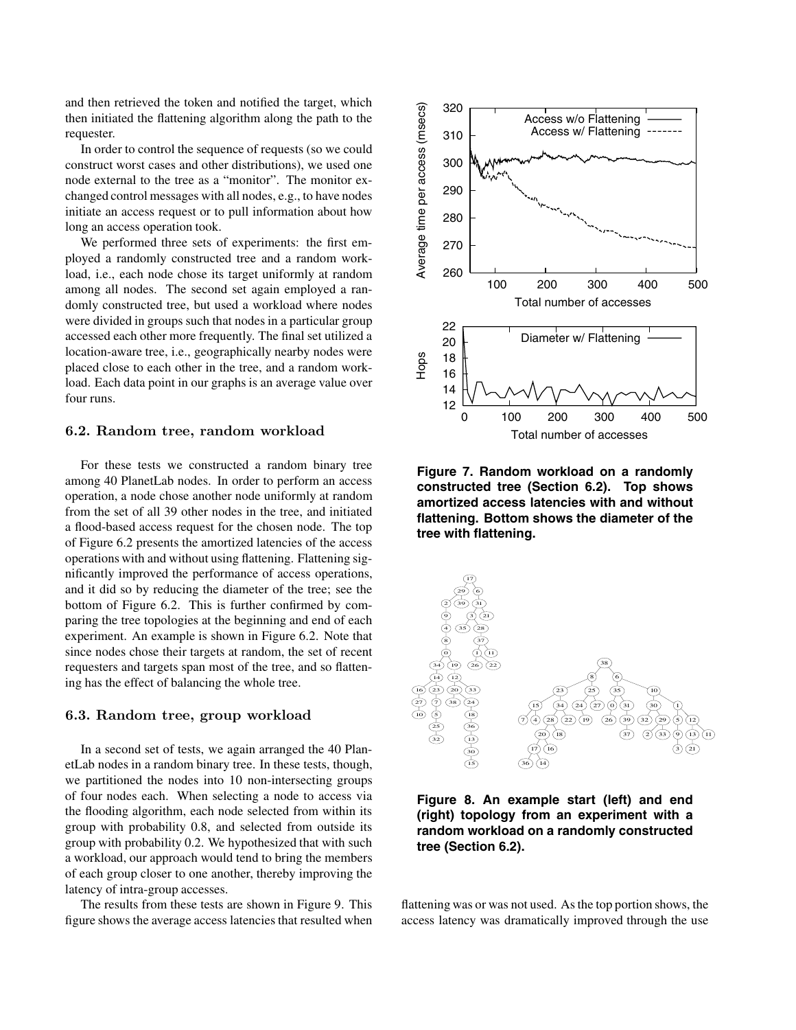and then retrieved the token and notified the target, which then initiated the flattening algorithm along the path to the requester.

In order to control the sequence of requests (so we could construct worst cases and other distributions), we used one node external to the tree as a "monitor". The monitor exchanged control messages with all nodes, e.g., to have nodes initiate an access request or to pull information about how long an access operation took.

We performed three sets of experiments: the first employed a randomly constructed tree and a random workload, i.e., each node chose its target uniformly at random among all nodes. The second set again employed a randomly constructed tree, but used a workload where nodes were divided in groups such that nodes in a particular group accessed each other more frequently. The final set utilized a location-aware tree, i.e., geographically nearby nodes were placed close to each other in the tree, and a random workload. Each data point in our graphs is an average value over four runs.

### **6.2. Random tree, random workload**

For these tests we constructed a random binary tree among 40 PlanetLab nodes. In order to perform an access operation, a node chose another node uniformly at random from the set of all 39 other nodes in the tree, and initiated a flood-based access request for the chosen node. The top of Figure 6.2 presents the amortized latencies of the access operations with and without using flattening. Flattening significantly improved the performance of access operations, and it did so by reducing the diameter of the tree; see the bottom of Figure 6.2. This is further confirmed by comparing the tree topologies at the beginning and end of each experiment. An example is shown in Figure 6.2. Note that since nodes chose their targets at random, the set of recent requesters and targets span most of the tree, and so flattening has the effect of balancing the whole tree.

## **6.3. Random tree, group workload**

In a second set of tests, we again arranged the 40 PlanetLab nodes in a random binary tree. In these tests, though, we partitioned the nodes into 10 non-intersecting groups of four nodes each. When selecting a node to access via the flooding algorithm, each node selected from within its group with probability 0.8, and selected from outside its group with probability 0.2. We hypothesized that with such a workload, our approach would tend to bring the members of each group closer to one another, thereby improving the latency of intra-group accesses.

The results from these tests are shown in Figure 9. This figure shows the average access latencies that resulted when



**Figure 7. Random workload on a randomly constructed tree (Section 6.2). Top shows amortized access latencies with and without flattening. Bottom shows the diameter of the tree with flattening.**





flattening was or was not used. As the top portion shows, the access latency was dramatically improved through the use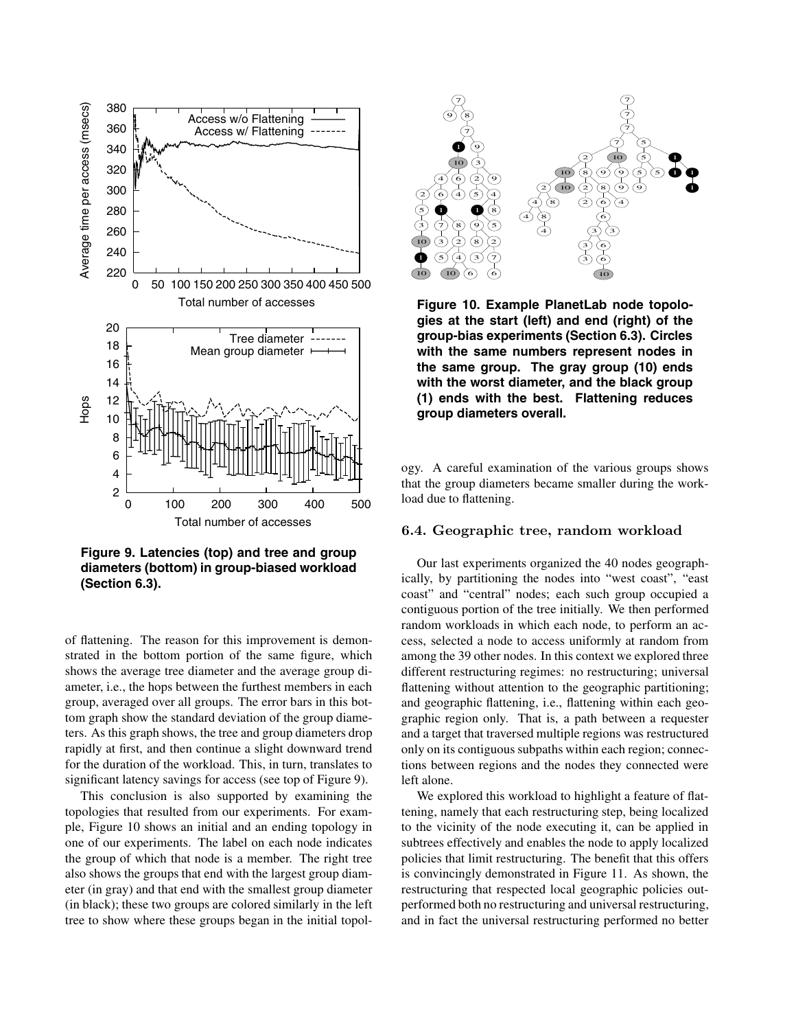

**Figure 9. Latencies (top) and tree and group diameters (bottom) in group-biased workload (Section 6.3).**

of flattening. The reason for this improvement is demonstrated in the bottom portion of the same figure, which shows the average tree diameter and the average group diameter, i.e., the hops between the furthest members in each group, averaged over all groups. The error bars in this bottom graph show the standard deviation of the group diameters. As this graph shows, the tree and group diameters drop rapidly at first, and then continue a slight downward trend for the duration of the workload. This, in turn, translates to significant latency savings for access (see top of Figure 9).

This conclusion is also supported by examining the topologies that resulted from our experiments. For example, Figure 10 shows an initial and an ending topology in one of our experiments. The label on each node indicates the group of which that node is a member. The right tree also shows the groups that end with the largest group diameter (in gray) and that end with the smallest group diameter (in black); these two groups are colored similarly in the left tree to show where these groups began in the initial topol-



**Figure 10. Example PlanetLab node topologies at the start (left) and end (right) of the group-bias experiments (Section 6.3). Circles with the same numbers represent nodes in the same group. The gray group (10) ends with the worst diameter, and the black group (1) ends with the best. Flattening reduces group diameters overall.**

ogy. A careful examination of the various groups shows that the group diameters became smaller during the workload due to flattening.

### **6.4. Geographic tree, random workload**

Our last experiments organized the 40 nodes geographically, by partitioning the nodes into "west coast", "east coast" and "central" nodes; each such group occupied a contiguous portion of the tree initially. We then performed random workloads in which each node, to perform an access, selected a node to access uniformly at random from among the 39 other nodes. In this context we explored three different restructuring regimes: no restructuring; universal flattening without attention to the geographic partitioning; and geographic flattening, i.e., flattening within each geographic region only. That is, a path between a requester and a target that traversed multiple regions was restructured only on its contiguous subpaths within each region; connections between regions and the nodes they connected were left alone.

We explored this workload to highlight a feature of flattening, namely that each restructuring step, being localized to the vicinity of the node executing it, can be applied in subtrees effectively and enables the node to apply localized policies that limit restructuring. The benefit that this offers is convincingly demonstrated in Figure 11. As shown, the restructuring that respected local geographic policies outperformed both no restructuring and universal restructuring, and in fact the universal restructuring performed no better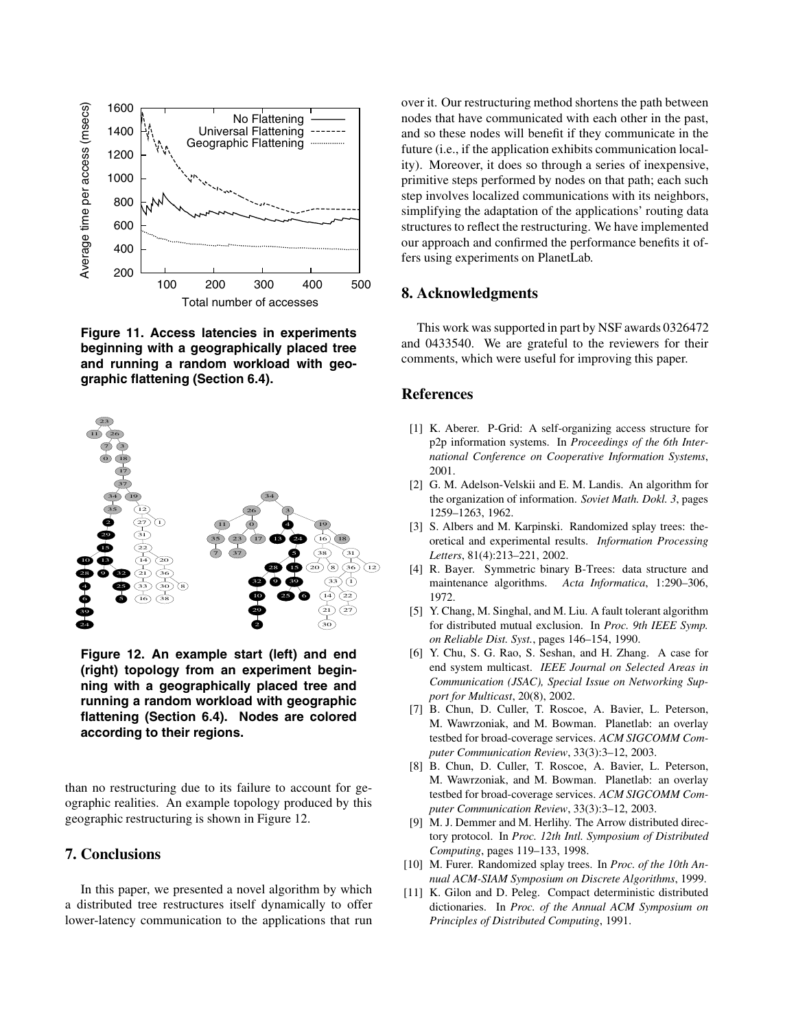

**Figure 11. Access latencies in experiments beginning with a geographically placed tree and running a random workload with geographic flattening (Section 6.4).**



**Figure 12. An example start (left) and end (right) topology from an experiment beginning with a geographically placed tree and running a random workload with geographic flattening (Section 6.4). Nodes are colored according to their regions.**

than no restructuring due to its failure to account for geographic realities. An example topology produced by this geographic restructuring is shown in Figure 12.

## **7. Conclusions**

In this paper, we presented a novel algorithm by which a distributed tree restructures itself dynamically to offer lower-latency communication to the applications that run over it. Our restructuring method shortens the path between nodes that have communicated with each other in the past, and so these nodes will benefit if they communicate in the future (i.e., if the application exhibits communication locality). Moreover, it does so through a series of inexpensive, primitive steps performed by nodes on that path; each such step involves localized communications with its neighbors, simplifying the adaptation of the applications' routing data structures to reflect the restructuring. We have implemented our approach and confirmed the performance benefits it offers using experiments on PlanetLab.

## **8. Acknowledgments**

This work was supported in part by NSF awards 0326472 and 0433540. We are grateful to the reviewers for their comments, which were useful for improving this paper.

## **References**

- [1] K. Aberer. P-Grid: A self-organizing access structure for p2p information systems. In *Proceedings of the 6th International Conference on Cooperative Information Systems*, 2001.
- [2] G. M. Adelson-Velskii and E. M. Landis. An algorithm for the organization of information. *Soviet Math. Dokl. 3*, pages 1259–1263, 1962.
- [3] S. Albers and M. Karpinski. Randomized splay trees: theoretical and experimental results. *Information Processing Letters*, 81(4):213–221, 2002.
- [4] R. Bayer. Symmetric binary B-Trees: data structure and maintenance algorithms. *Acta Informatica*, 1:290–306, 1972.
- [5] Y. Chang, M. Singhal, and M. Liu. A fault tolerant algorithm for distributed mutual exclusion. In *Proc. 9th IEEE Symp. on Reliable Dist. Syst.*, pages 146–154, 1990.
- [6] Y. Chu, S. G. Rao, S. Seshan, and H. Zhang. A case for end system multicast. *IEEE Journal on Selected Areas in Communication (JSAC), Special Issue on Networking Support for Multicast*, 20(8), 2002.
- [7] B. Chun, D. Culler, T. Roscoe, A. Bavier, L. Peterson, M. Wawrzoniak, and M. Bowman. Planetlab: an overlay testbed for broad-coverage services. *ACM SIGCOMM Computer Communication Review*, 33(3):3–12, 2003.
- [8] B. Chun, D. Culler, T. Roscoe, A. Bavier, L. Peterson, M. Wawrzoniak, and M. Bowman. Planetlab: an overlay testbed for broad-coverage services. *ACM SIGCOMM Computer Communication Review*, 33(3):3–12, 2003.
- [9] M. J. Demmer and M. Herlihy. The Arrow distributed directory protocol. In *Proc. 12th Intl. Symposium of Distributed Computing*, pages 119–133, 1998.
- [10] M. Furer. Randomized splay trees. In *Proc. of the 10th Annual ACM-SIAM Symposium on Discrete Algorithms*, 1999.
- [11] K. Gilon and D. Peleg. Compact deterministic distributed dictionaries. In *Proc. of the Annual ACM Symposium on Principles of Distributed Computing*, 1991.